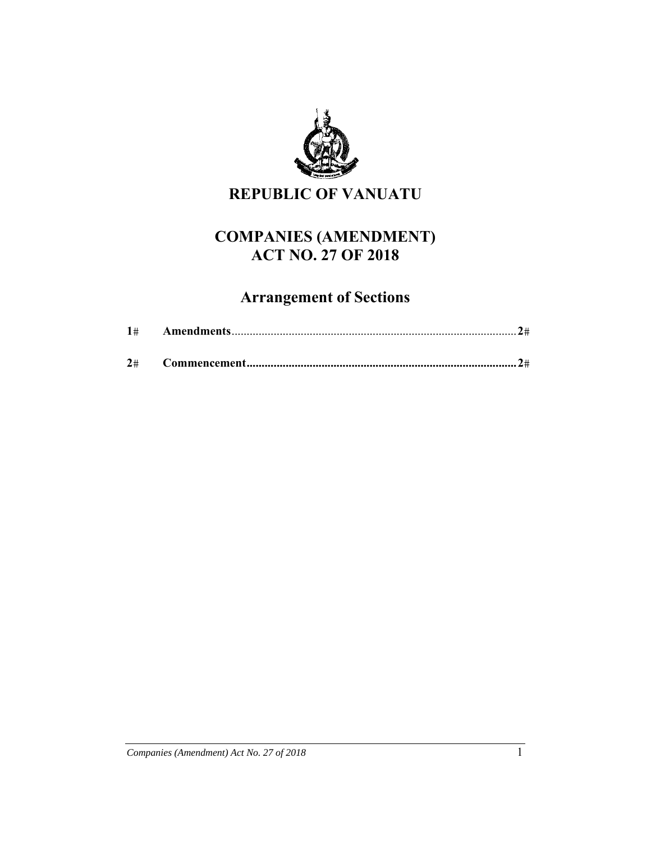

**REPUBLIC OF VANUATU** 

## **COMPANIES (AMENDMENT) ACT NO. 27 OF 2018**

# **Arrangement of Sections**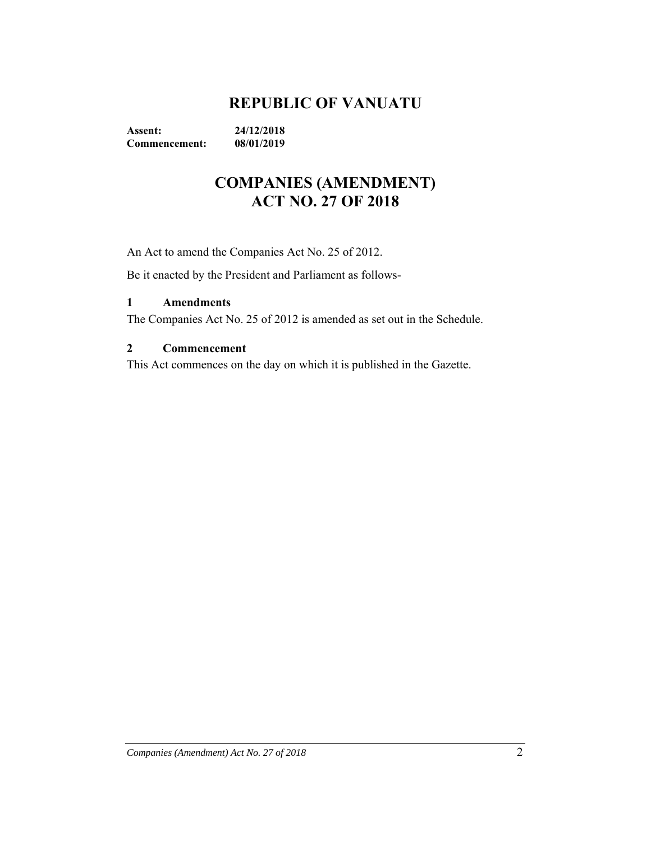## **REPUBLIC OF VANUATU**

**Assent: 24/12/2018 Commencement: 08/01/2019** 

## **COMPANIES (AMENDMENT) ACT NO. 27 OF 2018**

An Act to amend the Companies Act No. 25 of 2012.

Be it enacted by the President and Parliament as follows-

#### **1 Amendments**

The Companies Act No. 25 of 2012 is amended as set out in the Schedule.

#### **2 Commencement**

This Act commences on the day on which it is published in the Gazette.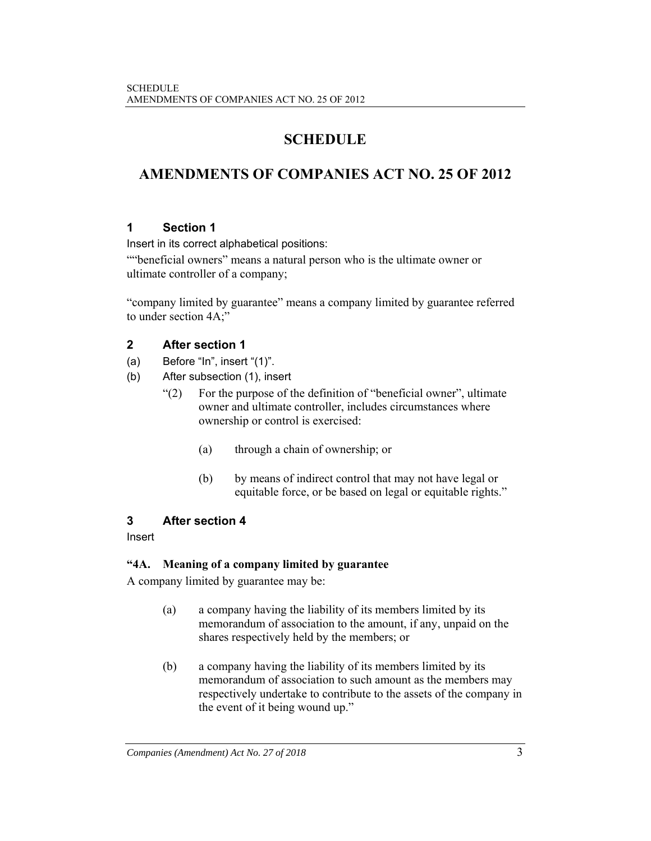## **SCHEDULE**

## **AMENDMENTS OF COMPANIES ACT NO. 25 OF 2012**

## **1 Section 1**

Insert in its correct alphabetical positions:

""beneficial owners" means a natural person who is the ultimate owner or ultimate controller of a company;

"company limited by guarantee" means a company limited by guarantee referred to under section 4A;"

## **2 After section 1**

- (a) Before "In", insert "(1)".
- (b) After subsection (1), insert
	- "(2) For the purpose of the definition of "beneficial owner", ultimate owner and ultimate controller, includes circumstances where ownership or control is exercised:
		- (a) through a chain of ownership; or
		- (b) by means of indirect control that may not have legal or equitable force, or be based on legal or equitable rights."

## **3 After section 4**

## Insert

## **"4A. Meaning of a company limited by guarantee**

A company limited by guarantee may be:

- (a) a company having the liability of its members limited by its memorandum of association to the amount, if any, unpaid on the shares respectively held by the members; or
- (b) a company having the liability of its members limited by its memorandum of association to such amount as the members may respectively undertake to contribute to the assets of the company in the event of it being wound up."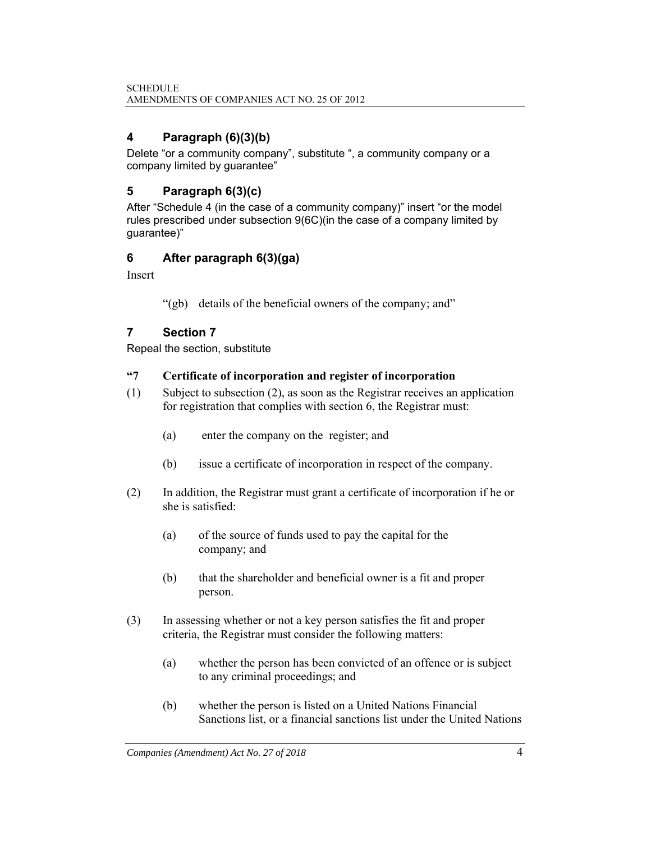## **4 Paragraph (6)(3)(b)**

Delete "or a community company", substitute ", a community company or a company limited by guarantee"

## **5 Paragraph 6(3)(c)**

After "Schedule 4 (in the case of a community company)" insert "or the model rules prescribed under subsection 9(6C)(in the case of a company limited by guarantee)"

## **6 After paragraph 6(3)(ga)**

Insert

"(gb) details of the beneficial owners of the company; and"

## **7 Section 7**

Repeal the section, substitute

#### **"7 Certificate of incorporation and register of incorporation**

- (1) Subject to subsection (2), as soon as the Registrar receives an application for registration that complies with section 6, the Registrar must:
	- (a) enter the company on the register; and
	- (b) issue a certificate of incorporation in respect of the company.
- (2) In addition, the Registrar must grant a certificate of incorporation if he or she is satisfied:
	- (a) of the source of funds used to pay the capital for the company; and
	- (b) that the shareholder and beneficial owner is a fit and proper person.
- (3) In assessing whether or not a key person satisfies the fit and proper criteria, the Registrar must consider the following matters:
	- (a) whether the person has been convicted of an offence or is subject to any criminal proceedings; and
	- (b) whether the person is listed on a United Nations Financial Sanctions list, or a financial sanctions list under the United Nations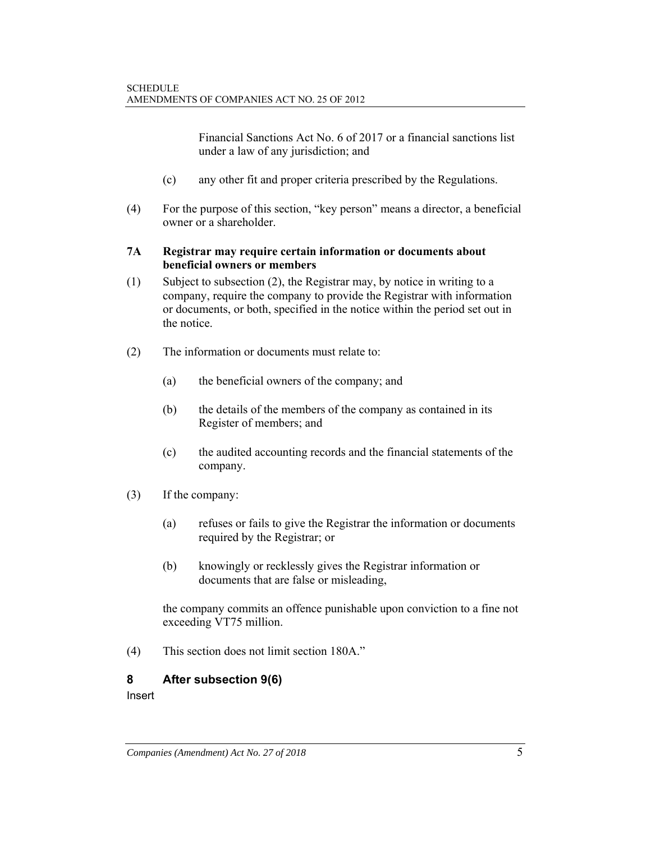Financial Sanctions Act No. 6 of 2017 or a financial sanctions list under a law of any jurisdiction; and

- (c) any other fit and proper criteria prescribed by the Regulations.
- (4) For the purpose of this section, "key person" means a director, a beneficial owner or a shareholder.

#### **7A Registrar may require certain information or documents about beneficial owners or members**

- (1) Subject to subsection (2), the Registrar may, by notice in writing to a company, require the company to provide the Registrar with information or documents, or both, specified in the notice within the period set out in the notice.
- (2) The information or documents must relate to:
	- (a) the beneficial owners of the company; and
	- (b) the details of the members of the company as contained in its Register of members; and
	- (c) the audited accounting records and the financial statements of the company.
- (3) If the company:
	- (a) refuses or fails to give the Registrar the information or documents required by the Registrar; or
	- (b) knowingly or recklessly gives the Registrar information or documents that are false or misleading,

 the company commits an offence punishable upon conviction to a fine not exceeding VT75 million.

(4) This section does not limit section 180A."

#### **8 After subsection 9(6)**

Insert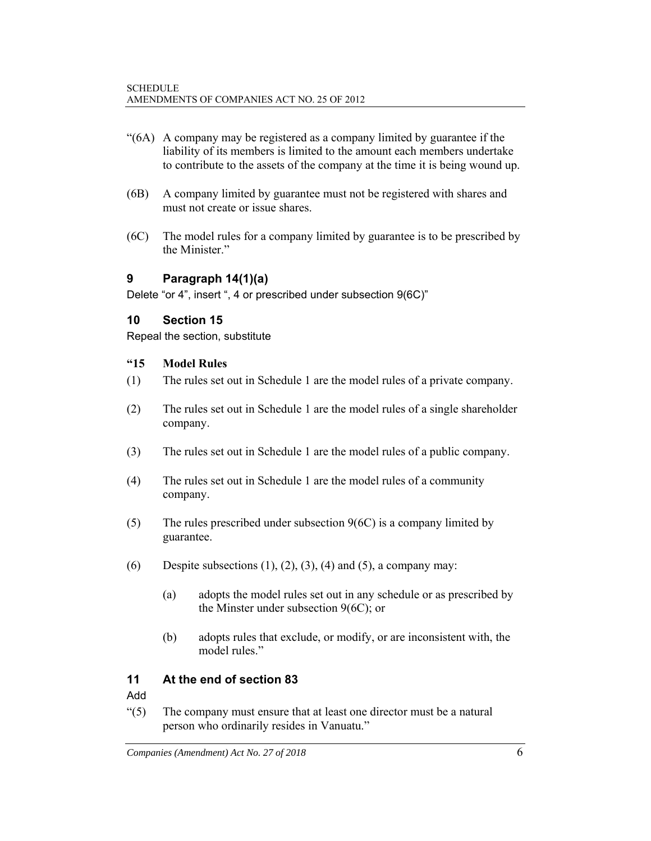- "(6A) A company may be registered as a company limited by guarantee if the liability of its members is limited to the amount each members undertake to contribute to the assets of the company at the time it is being wound up.
- (6B) A company limited by guarantee must not be registered with shares and must not create or issue shares.
- (6C) The model rules for a company limited by guarantee is to be prescribed by the Minister."

## **9 Paragraph 14(1)(a)**

Delete "or 4", insert ", 4 or prescribed under subsection 9(6C)"

#### **10 Section 15**

Repeal the section, substitute

#### **"15 Model Rules**

- (1) The rules set out in Schedule 1 are the model rules of a private company.
- (2) The rules set out in Schedule 1 are the model rules of a single shareholder company.
- (3) The rules set out in Schedule 1 are the model rules of a public company.
- (4) The rules set out in Schedule 1 are the model rules of a community company.
- (5) The rules prescribed under subsection  $9(6C)$  is a company limited by guarantee.
- (6) Despite subsections  $(1)$ ,  $(2)$ ,  $(3)$ ,  $(4)$  and  $(5)$ , a company may:
	- (a) adopts the model rules set out in any schedule or as prescribed by the Minster under subsection 9(6C); or
	- (b) adopts rules that exclude, or modify, or are inconsistent with, the model rules."

## **11 At the end of section 83**

Add

"(5) The company must ensure that at least one director must be a natural person who ordinarily resides in Vanuatu."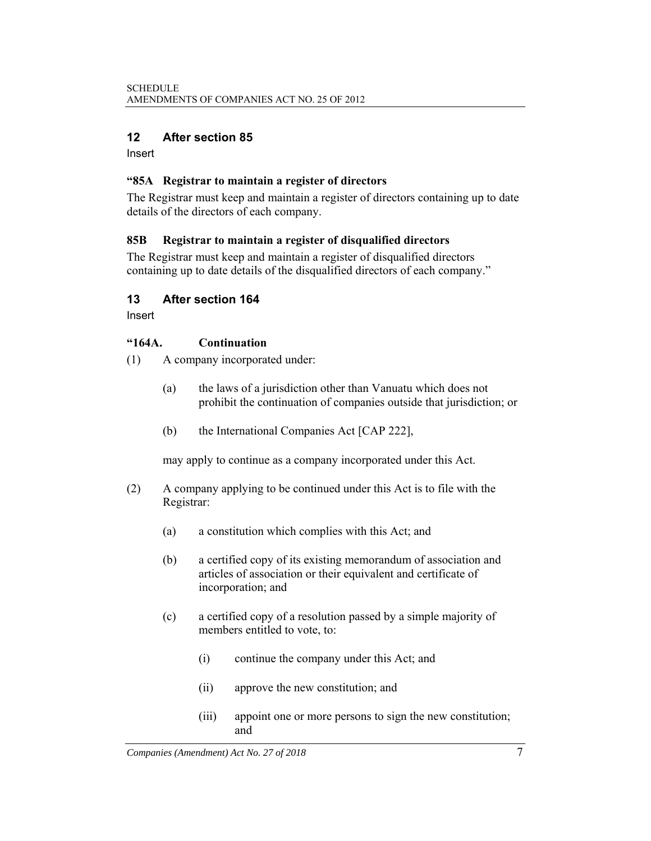#### **12 After section 85**

Insert

#### **"85A Registrar to maintain a register of directors**

The Registrar must keep and maintain a register of directors containing up to date details of the directors of each company.

#### **85B Registrar to maintain a register of disqualified directors**

The Registrar must keep and maintain a register of disqualified directors containing up to date details of the disqualified directors of each company."

#### **13 After section 164**

Insert

#### **"164A. Continuation**

- (1) A company incorporated under:
	- (a) the laws of a jurisdiction other than Vanuatu which does not prohibit the continuation of companies outside that jurisdiction; or
	- (b) the International Companies Act [CAP 222],

may apply to continue as a company incorporated under this Act.

- (2) A company applying to be continued under this Act is to file with the Registrar:
	- (a) a constitution which complies with this Act; and
	- (b) a certified copy of its existing memorandum of association and articles of association or their equivalent and certificate of incorporation; and
	- (c) a certified copy of a resolution passed by a simple majority of members entitled to vote, to:
		- (i) continue the company under this Act; and
		- (ii) approve the new constitution; and
		- (iii) appoint one or more persons to sign the new constitution; and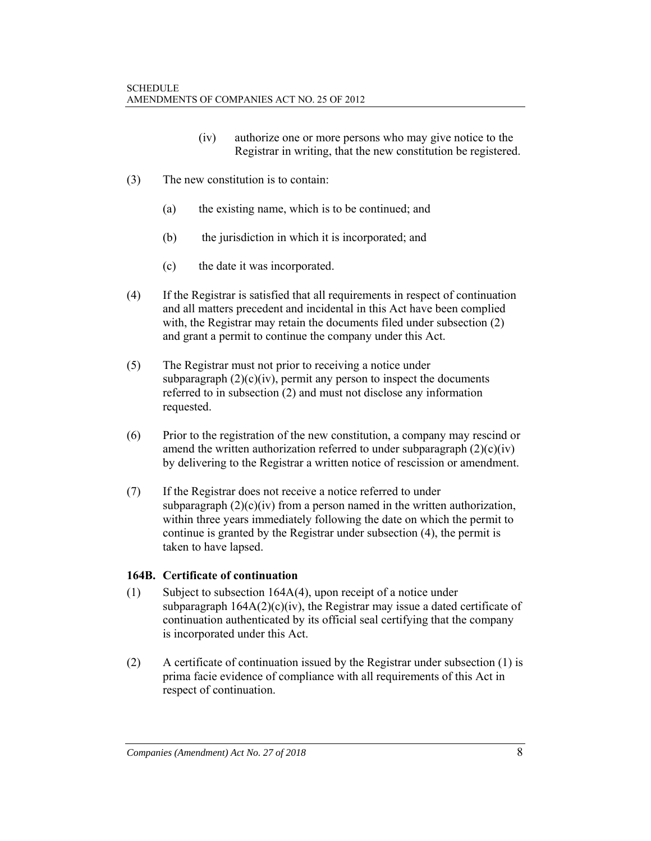- (iv) authorize one or more persons who may give notice to the Registrar in writing, that the new constitution be registered.
- (3) The new constitution is to contain:
	- (a) the existing name, which is to be continued; and
	- (b) the jurisdiction in which it is incorporated; and
	- (c) the date it was incorporated.
- (4) If the Registrar is satisfied that all requirements in respect of continuation and all matters precedent and incidental in this Act have been complied with, the Registrar may retain the documents filed under subsection (2) and grant a permit to continue the company under this Act.
- (5) The Registrar must not prior to receiving a notice under subparagraph  $(2)(c)(iv)$ , permit any person to inspect the documents referred to in subsection (2) and must not disclose any information requested.
- (6) Prior to the registration of the new constitution, a company may rescind or amend the written authorization referred to under subparagraph  $(2)(c)(iv)$ by delivering to the Registrar a written notice of rescission or amendment.
- (7) If the Registrar does not receive a notice referred to under subparagraph  $(2)(c)(iv)$  from a person named in the written authorization, within three years immediately following the date on which the permit to continue is granted by the Registrar under subsection (4), the permit is taken to have lapsed.

#### **164B. Certificate of continuation**

- (1) Subject to subsection 164A(4), upon receipt of a notice under subparagraph  $164A(2)(c)(iv)$ , the Registrar may issue a dated certificate of continuation authenticated by its official seal certifying that the company is incorporated under this Act.
- (2) A certificate of continuation issued by the Registrar under subsection (1) is prima facie evidence of compliance with all requirements of this Act in respect of continuation.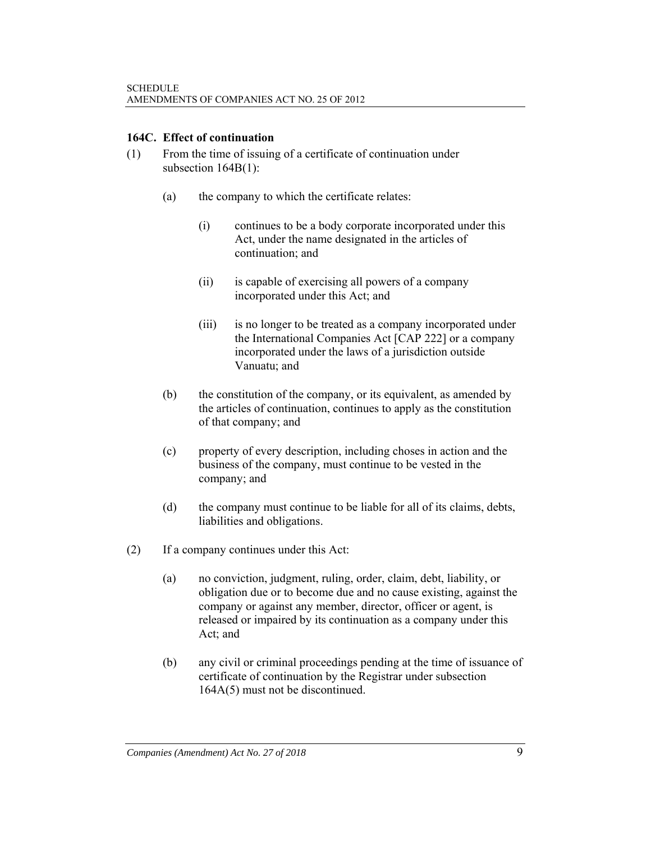#### **164C. Effect of continuation**

- (1) From the time of issuing of a certificate of continuation under subsection 164B(1):
	- (a) the company to which the certificate relates:
		- (i) continues to be a body corporate incorporated under this Act, under the name designated in the articles of continuation; and
		- (ii) is capable of exercising all powers of a company incorporated under this Act; and
		- (iii) is no longer to be treated as a company incorporated under the International Companies Act [CAP 222] or a company incorporated under the laws of a jurisdiction outside Vanuatu; and
	- (b) the constitution of the company, or its equivalent, as amended by the articles of continuation, continues to apply as the constitution of that company; and
	- (c) property of every description, including choses in action and the business of the company, must continue to be vested in the company; and
	- (d) the company must continue to be liable for all of its claims, debts, liabilities and obligations.
- (2) If a company continues under this Act:
	- (a) no conviction, judgment, ruling, order, claim, debt, liability, or obligation due or to become due and no cause existing, against the company or against any member, director, officer or agent, is released or impaired by its continuation as a company under this Act; and
	- (b) any civil or criminal proceedings pending at the time of issuance of certificate of continuation by the Registrar under subsection 164A(5) must not be discontinued.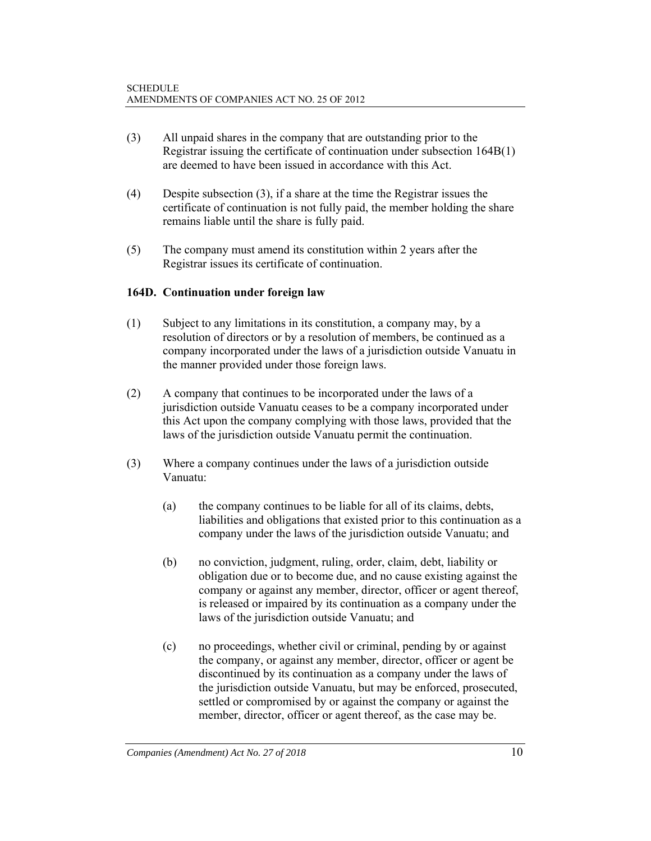- (3) All unpaid shares in the company that are outstanding prior to the Registrar issuing the certificate of continuation under subsection 164B(1) are deemed to have been issued in accordance with this Act.
- (4) Despite subsection (3), if a share at the time the Registrar issues the certificate of continuation is not fully paid, the member holding the share remains liable until the share is fully paid.
- (5) The company must amend its constitution within 2 years after the Registrar issues its certificate of continuation.

#### **164D. Continuation under foreign law**

- (1) Subject to any limitations in its constitution, a company may, by a resolution of directors or by a resolution of members, be continued as a company incorporated under the laws of a jurisdiction outside Vanuatu in the manner provided under those foreign laws.
- (2) A company that continues to be incorporated under the laws of a jurisdiction outside Vanuatu ceases to be a company incorporated under this Act upon the company complying with those laws, provided that the laws of the jurisdiction outside Vanuatu permit the continuation.
- (3) Where a company continues under the laws of a jurisdiction outside Vanuatu:
	- (a) the company continues to be liable for all of its claims, debts, liabilities and obligations that existed prior to this continuation as a company under the laws of the jurisdiction outside Vanuatu; and
	- (b) no conviction, judgment, ruling, order, claim, debt, liability or obligation due or to become due, and no cause existing against the company or against any member, director, officer or agent thereof, is released or impaired by its continuation as a company under the laws of the jurisdiction outside Vanuatu; and
	- (c) no proceedings, whether civil or criminal, pending by or against the company, or against any member, director, officer or agent be discontinued by its continuation as a company under the laws of the jurisdiction outside Vanuatu, but may be enforced, prosecuted, settled or compromised by or against the company or against the member, director, officer or agent thereof, as the case may be.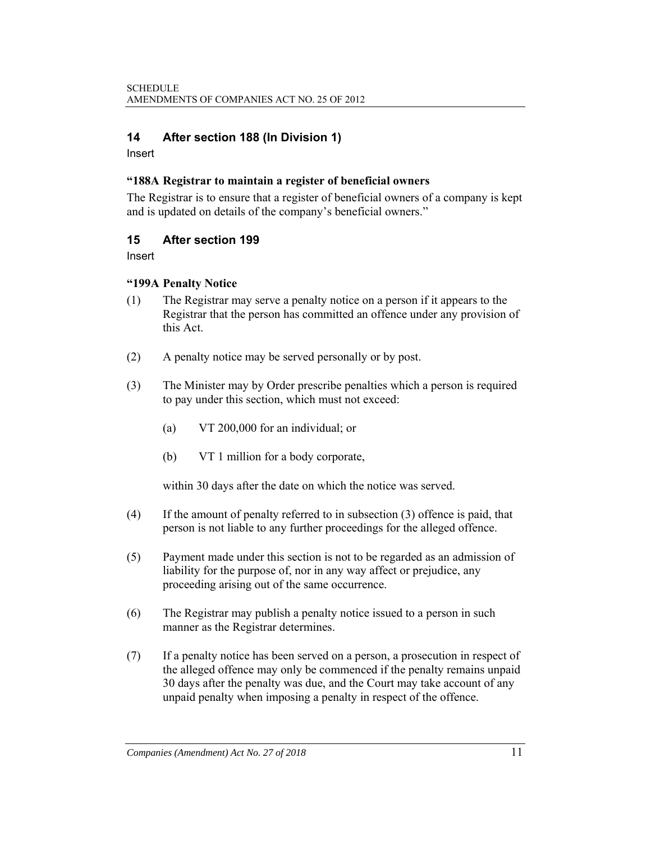### **14 After section 188 (In Division 1)**

Insert

#### **"188A Registrar to maintain a register of beneficial owners**

The Registrar is to ensure that a register of beneficial owners of a company is kept and is updated on details of the company's beneficial owners."

#### **15 After section 199**

Insert

#### **"199A Penalty Notice**

- (1) The Registrar may serve a penalty notice on a person if it appears to the Registrar that the person has committed an offence under any provision of this Act.
- (2) A penalty notice may be served personally or by post.
- (3) The Minister may by Order prescribe penalties which a person is required to pay under this section, which must not exceed:
	- (a) VT 200,000 for an individual; or
	- (b) VT 1 million for a body corporate,

within 30 days after the date on which the notice was served.

- (4) If the amount of penalty referred to in subsection (3) offence is paid, that person is not liable to any further proceedings for the alleged offence.
- (5) Payment made under this section is not to be regarded as an admission of liability for the purpose of, nor in any way affect or prejudice, any proceeding arising out of the same occurrence.
- (6) The Registrar may publish a penalty notice issued to a person in such manner as the Registrar determines.
- (7) If a penalty notice has been served on a person, a prosecution in respect of the alleged offence may only be commenced if the penalty remains unpaid 30 days after the penalty was due, and the Court may take account of any unpaid penalty when imposing a penalty in respect of the offence.